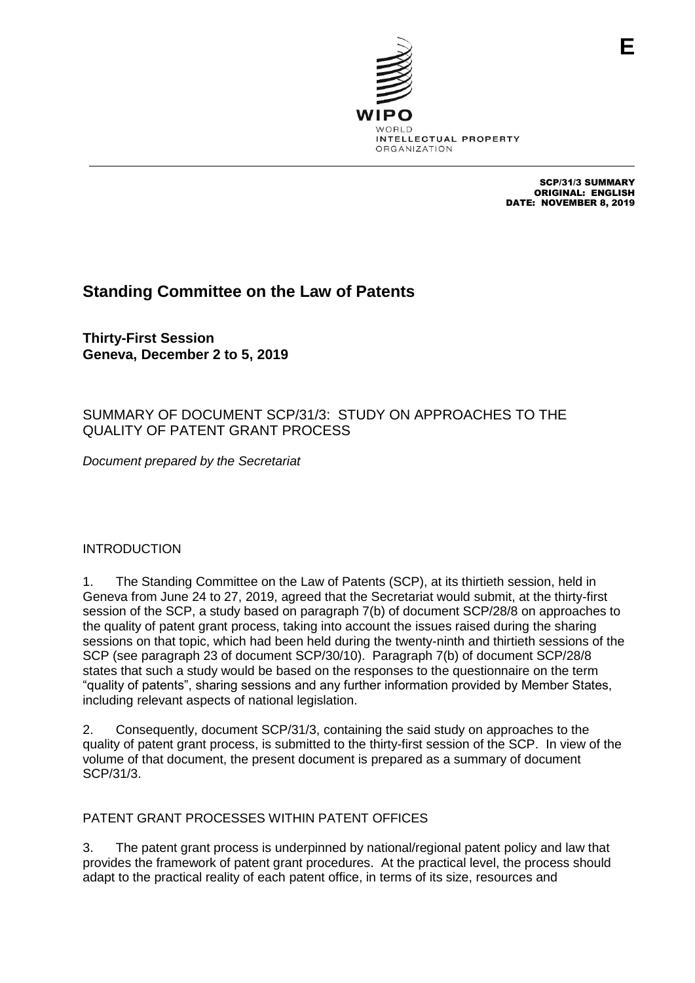

SCP/31/3 SUMMARY ORIGINAL: ENGLISH DATE: NOVEMBER 8, 2019

# **Standing Committee on the Law of Patents**

**Thirty-First Session Geneva, December 2 to 5, 2019**

## SUMMARY OF DOCUMENT SCP/31/3: STUDY ON APPROACHES TO THE QUALITY OF PATENT GRANT PROCESS

*Document prepared by the Secretariat*

## INTRODUCTION

1. The Standing Committee on the Law of Patents (SCP), at its thirtieth session, held in Geneva from June 24 to 27, 2019, agreed that the Secretariat would submit, at the thirty-first session of the SCP, a study based on paragraph 7(b) of document SCP/28/8 on approaches to the quality of patent grant process, taking into account the issues raised during the sharing sessions on that topic, which had been held during the twenty-ninth and thirtieth sessions of the SCP (see paragraph 23 of document SCP/30/10). Paragraph 7(b) of document SCP/28/8 states that such a study would be based on the responses to the questionnaire on the term "quality of patents", sharing sessions and any further information provided by Member States, including relevant aspects of national legislation.

2. Consequently, document SCP/31/3, containing the said study on approaches to the quality of patent grant process, is submitted to the thirty-first session of the SCP. In view of the volume of that document, the present document is prepared as a summary of document SCP/31/3.

## PATENT GRANT PROCESSES WITHIN PATENT OFFICES

3. The patent grant process is underpinned by national/regional patent policy and law that provides the framework of patent grant procedures. At the practical level, the process should adapt to the practical reality of each patent office, in terms of its size, resources and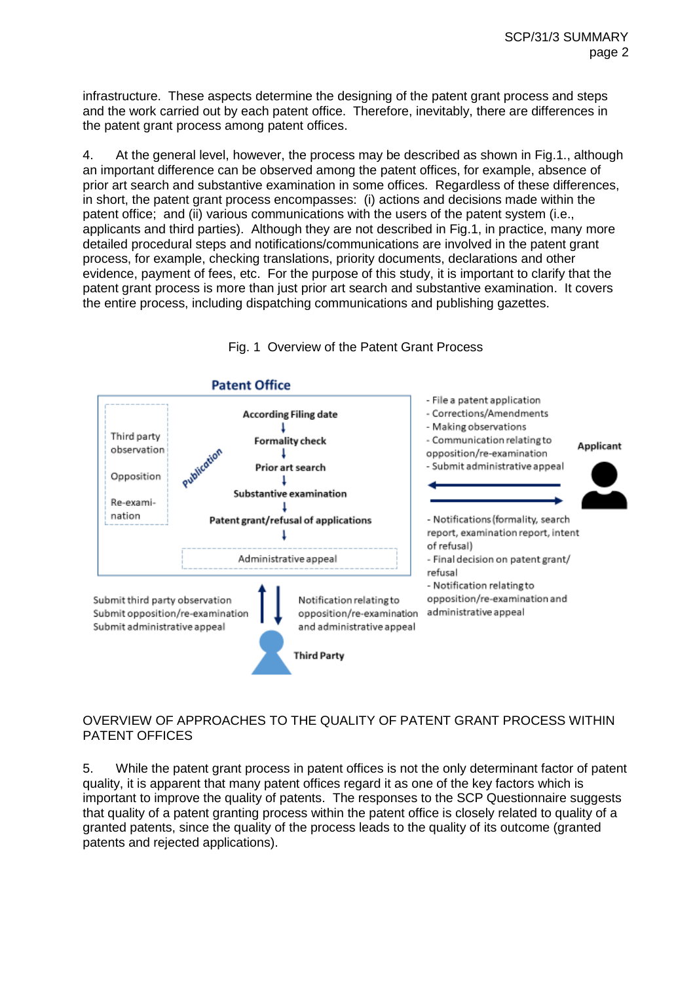infrastructure. These aspects determine the designing of the patent grant process and steps and the work carried out by each patent office. Therefore, inevitably, there are differences in the patent grant process among patent offices.

4. At the general level, however, the process may be described as shown in Fig.1., although an important difference can be observed among the patent offices, for example, absence of prior art search and substantive examination in some offices. Regardless of these differences, in short, the patent grant process encompasses: (i) actions and decisions made within the patent office; and (ii) various communications with the users of the patent system (i.e., applicants and third parties). Although they are not described in Fig.1, in practice, many more detailed procedural steps and notifications/communications are involved in the patent grant process, for example, checking translations, priority documents, declarations and other evidence, payment of fees, etc. For the purpose of this study, it is important to clarify that the patent grant process is more than just prior art search and substantive examination. It covers the entire process, including dispatching communications and publishing gazettes.



## Fig. 1 Overview of the Patent Grant Process

### OVERVIEW OF APPROACHES TO THE QUALITY OF PATENT GRANT PROCESS WITHIN PATENT OFFICES

5. While the patent grant process in patent offices is not the only determinant factor of patent quality, it is apparent that many patent offices regard it as one of the key factors which is important to improve the quality of patents. The responses to the SCP Questionnaire suggests that quality of a patent granting process within the patent office is closely related to quality of a granted patents, since the quality of the process leads to the quality of its outcome (granted patents and rejected applications).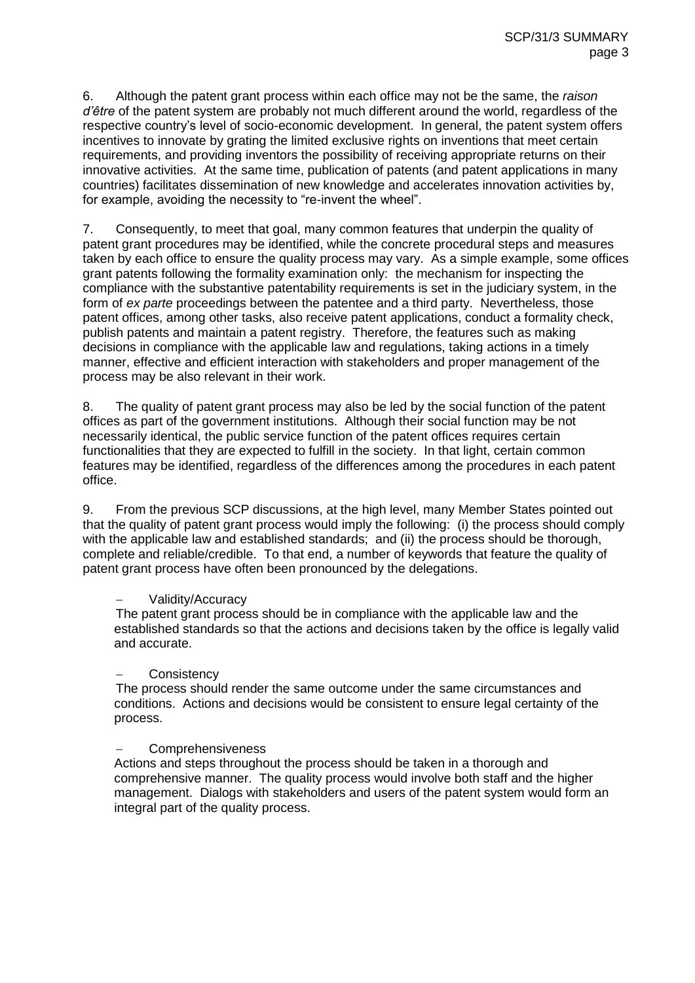6. Although the patent grant process within each office may not be the same, the *raison d'être* of the patent system are probably not much different around the world, regardless of the respective country's level of socio-economic development. In general, the patent system offers incentives to innovate by grating the limited exclusive rights on inventions that meet certain requirements, and providing inventors the possibility of receiving appropriate returns on their innovative activities. At the same time, publication of patents (and patent applications in many countries) facilitates dissemination of new knowledge and accelerates innovation activities by, for example, avoiding the necessity to "re-invent the wheel".

7. Consequently, to meet that goal, many common features that underpin the quality of patent grant procedures may be identified, while the concrete procedural steps and measures taken by each office to ensure the quality process may vary. As a simple example, some offices grant patents following the formality examination only: the mechanism for inspecting the compliance with the substantive patentability requirements is set in the judiciary system, in the form of *ex parte* proceedings between the patentee and a third party. Nevertheless, those patent offices, among other tasks, also receive patent applications, conduct a formality check, publish patents and maintain a patent registry. Therefore, the features such as making decisions in compliance with the applicable law and regulations, taking actions in a timely manner, effective and efficient interaction with stakeholders and proper management of the process may be also relevant in their work.

8. The quality of patent grant process may also be led by the social function of the patent offices as part of the government institutions. Although their social function may be not necessarily identical, the public service function of the patent offices requires certain functionalities that they are expected to fulfill in the society. In that light, certain common features may be identified, regardless of the differences among the procedures in each patent office.

9. From the previous SCP discussions, at the high level, many Member States pointed out that the quality of patent grant process would imply the following: (i) the process should comply with the applicable law and established standards; and (ii) the process should be thorough, complete and reliable/credible. To that end, a number of keywords that feature the quality of patent grant process have often been pronounced by the delegations.

#### Validity/Accuracy

The patent grant process should be in compliance with the applicable law and the established standards so that the actions and decisions taken by the office is legally valid and accurate.

#### **Consistency**

The process should render the same outcome under the same circumstances and conditions. Actions and decisions would be consistent to ensure legal certainty of the process.

#### **Comprehensiveness**

Actions and steps throughout the process should be taken in a thorough and comprehensive manner. The quality process would involve both staff and the higher management. Dialogs with stakeholders and users of the patent system would form an integral part of the quality process.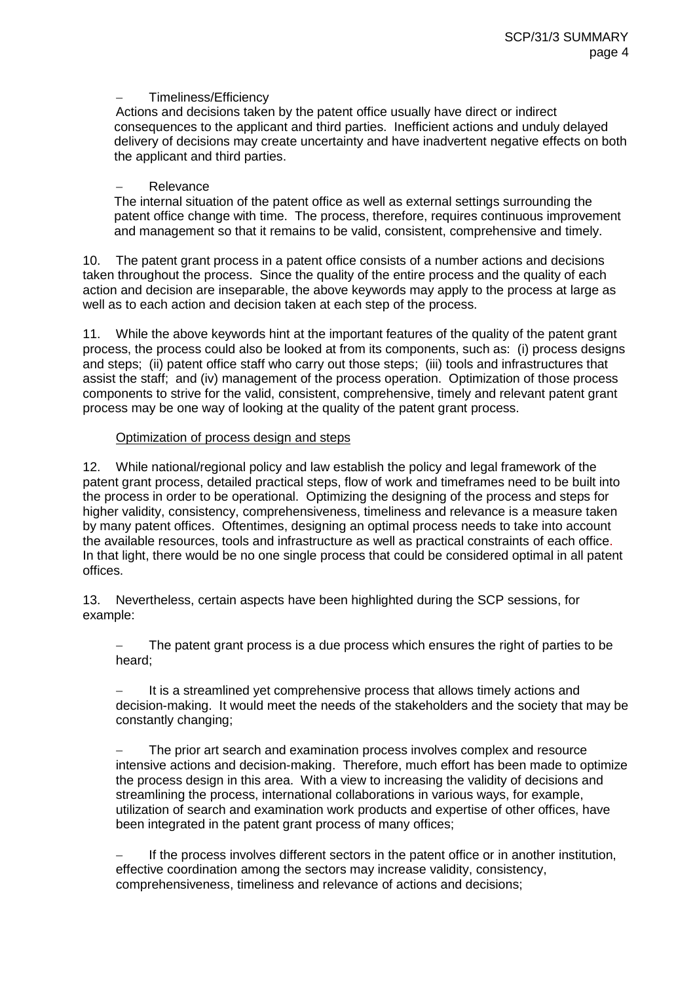#### Timeliness/Efficiency

Actions and decisions taken by the patent office usually have direct or indirect consequences to the applicant and third parties. Inefficient actions and unduly delayed delivery of decisions may create uncertainty and have inadvertent negative effects on both the applicant and third parties.

#### Relevance

The internal situation of the patent office as well as external settings surrounding the patent office change with time. The process, therefore, requires continuous improvement and management so that it remains to be valid, consistent, comprehensive and timely.

10. The patent grant process in a patent office consists of a number actions and decisions taken throughout the process. Since the quality of the entire process and the quality of each action and decision are inseparable, the above keywords may apply to the process at large as well as to each action and decision taken at each step of the process.

11. While the above keywords hint at the important features of the quality of the patent grant process, the process could also be looked at from its components, such as: (i) process designs and steps; (ii) patent office staff who carry out those steps; (iii) tools and infrastructures that assist the staff; and (iv) management of the process operation. Optimization of those process components to strive for the valid, consistent, comprehensive, timely and relevant patent grant process may be one way of looking at the quality of the patent grant process.

#### Optimization of process design and steps

12. While national/regional policy and law establish the policy and legal framework of the patent grant process, detailed practical steps, flow of work and timeframes need to be built into the process in order to be operational. Optimizing the designing of the process and steps for higher validity, consistency, comprehensiveness, timeliness and relevance is a measure taken by many patent offices. Oftentimes, designing an optimal process needs to take into account the available resources, tools and infrastructure as well as practical constraints of each office. In that light, there would be no one single process that could be considered optimal in all patent offices.

13. Nevertheless, certain aspects have been highlighted during the SCP sessions, for example:

 The patent grant process is a due process which ensures the right of parties to be heard;

 It is a streamlined yet comprehensive process that allows timely actions and decision-making. It would meet the needs of the stakeholders and the society that may be constantly changing;

 The prior art search and examination process involves complex and resource intensive actions and decision-making. Therefore, much effort has been made to optimize the process design in this area. With a view to increasing the validity of decisions and streamlining the process, international collaborations in various ways, for example, utilization of search and examination work products and expertise of other offices, have been integrated in the patent grant process of many offices;

 If the process involves different sectors in the patent office or in another institution, effective coordination among the sectors may increase validity, consistency, comprehensiveness, timeliness and relevance of actions and decisions;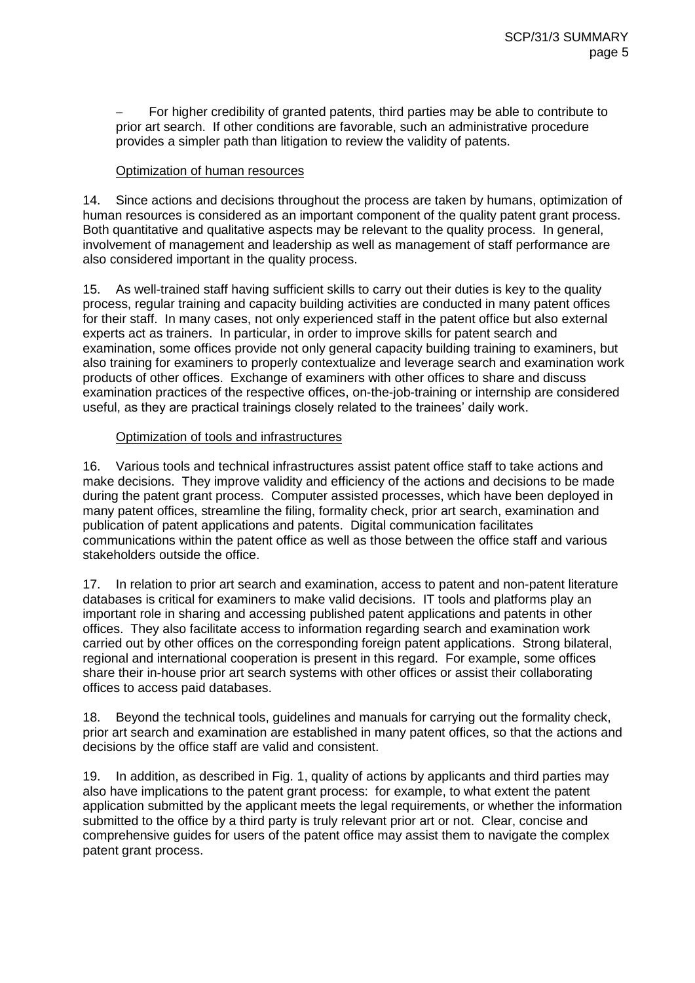For higher credibility of granted patents, third parties may be able to contribute to prior art search. If other conditions are favorable, such an administrative procedure provides a simpler path than litigation to review the validity of patents.

#### Optimization of human resources

14. Since actions and decisions throughout the process are taken by humans, optimization of human resources is considered as an important component of the quality patent grant process. Both quantitative and qualitative aspects may be relevant to the quality process. In general, involvement of management and leadership as well as management of staff performance are also considered important in the quality process.

15. As well-trained staff having sufficient skills to carry out their duties is key to the quality process, regular training and capacity building activities are conducted in many patent offices for their staff. In many cases, not only experienced staff in the patent office but also external experts act as trainers. In particular, in order to improve skills for patent search and examination, some offices provide not only general capacity building training to examiners, but also training for examiners to properly contextualize and leverage search and examination work products of other offices. Exchange of examiners with other offices to share and discuss examination practices of the respective offices, on-the-job-training or internship are considered useful, as they are practical trainings closely related to the trainees' daily work.

#### Optimization of tools and infrastructures

16. Various tools and technical infrastructures assist patent office staff to take actions and make decisions. They improve validity and efficiency of the actions and decisions to be made during the patent grant process. Computer assisted processes, which have been deployed in many patent offices, streamline the filing, formality check, prior art search, examination and publication of patent applications and patents. Digital communication facilitates communications within the patent office as well as those between the office staff and various stakeholders outside the office.

17. In relation to prior art search and examination, access to patent and non-patent literature databases is critical for examiners to make valid decisions. IT tools and platforms play an important role in sharing and accessing published patent applications and patents in other offices. They also facilitate access to information regarding search and examination work carried out by other offices on the corresponding foreign patent applications. Strong bilateral, regional and international cooperation is present in this regard. For example, some offices share their in-house prior art search systems with other offices or assist their collaborating offices to access paid databases.

18. Beyond the technical tools, guidelines and manuals for carrying out the formality check, prior art search and examination are established in many patent offices, so that the actions and decisions by the office staff are valid and consistent.

19. In addition, as described in Fig. 1, quality of actions by applicants and third parties may also have implications to the patent grant process: for example, to what extent the patent application submitted by the applicant meets the legal requirements, or whether the information submitted to the office by a third party is truly relevant prior art or not. Clear, concise and comprehensive guides for users of the patent office may assist them to navigate the complex patent grant process.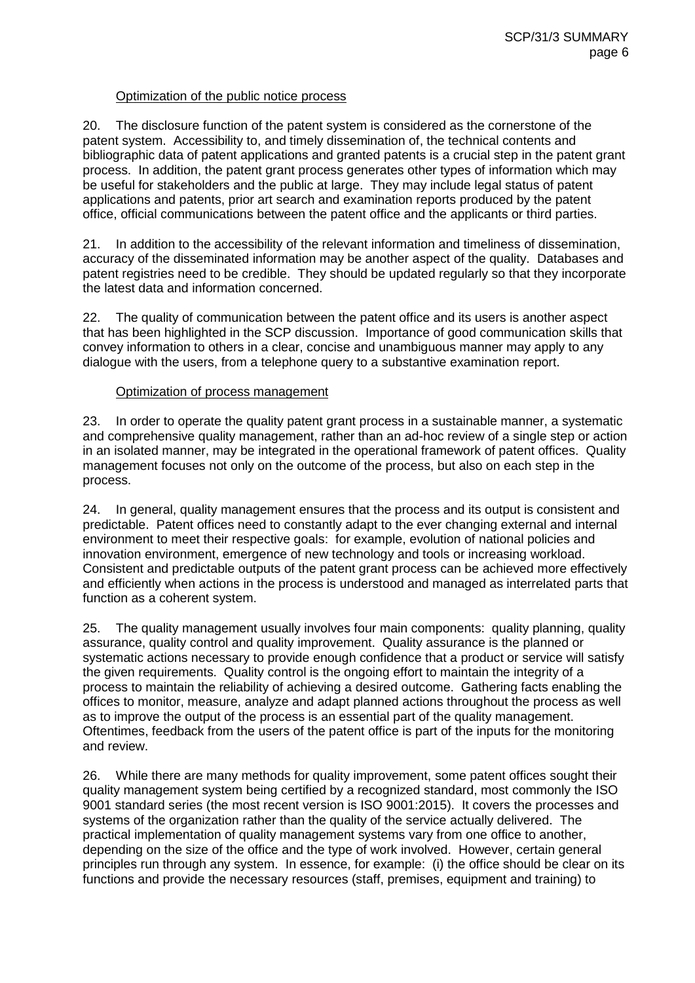#### Optimization of the public notice process

20. The disclosure function of the patent system is considered as the cornerstone of the patent system. Accessibility to, and timely dissemination of, the technical contents and bibliographic data of patent applications and granted patents is a crucial step in the patent grant process. In addition, the patent grant process generates other types of information which may be useful for stakeholders and the public at large. They may include legal status of patent applications and patents, prior art search and examination reports produced by the patent office, official communications between the patent office and the applicants or third parties.

21. In addition to the accessibility of the relevant information and timeliness of dissemination, accuracy of the disseminated information may be another aspect of the quality. Databases and patent registries need to be credible. They should be updated regularly so that they incorporate the latest data and information concerned.

22. The quality of communication between the patent office and its users is another aspect that has been highlighted in the SCP discussion. Importance of good communication skills that convey information to others in a clear, concise and unambiguous manner may apply to any dialogue with the users, from a telephone query to a substantive examination report.

#### Optimization of process management

23. In order to operate the quality patent grant process in a sustainable manner, a systematic and comprehensive quality management, rather than an ad-hoc review of a single step or action in an isolated manner, may be integrated in the operational framework of patent offices. Quality management focuses not only on the outcome of the process, but also on each step in the process.

24. In general, quality management ensures that the process and its output is consistent and predictable. Patent offices need to constantly adapt to the ever changing external and internal environment to meet their respective goals: for example, evolution of national policies and innovation environment, emergence of new technology and tools or increasing workload. Consistent and predictable outputs of the patent grant process can be achieved more effectively and efficiently when actions in the process is understood and managed as interrelated parts that function as a coherent system.

25. The quality management usually involves four main components: quality planning, quality assurance, quality control and quality improvement. Quality assurance is the planned or systematic actions necessary to provide enough confidence that a product or service will satisfy the given requirements. Quality control is the ongoing effort to maintain the integrity of a process to maintain the reliability of achieving a desired outcome. Gathering facts enabling the offices to monitor, measure, analyze and adapt planned actions throughout the process as well as to improve the output of the process is an essential part of the quality management. Oftentimes, feedback from the users of the patent office is part of the inputs for the monitoring and review.

26. While there are many methods for quality improvement, some patent offices sought their quality management system being certified by a recognized standard, most commonly the ISO 9001 standard series (the most recent version is ISO 9001:2015). It covers the processes and systems of the organization rather than the quality of the service actually delivered. The practical implementation of quality management systems vary from one office to another, depending on the size of the office and the type of work involved. However, certain general principles run through any system. In essence, for example: (i) the office should be clear on its functions and provide the necessary resources (staff, premises, equipment and training) to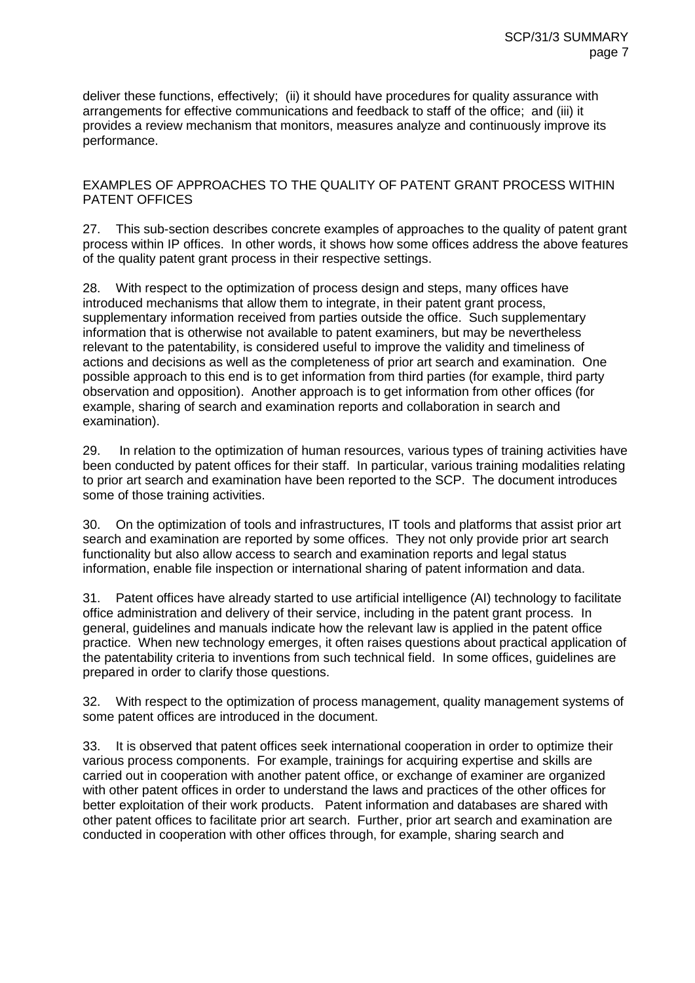deliver these functions, effectively; (ii) it should have procedures for quality assurance with arrangements for effective communications and feedback to staff of the office; and (iii) it provides a review mechanism that monitors, measures analyze and continuously improve its performance.

EXAMPLES OF APPROACHES TO THE QUALITY OF PATENT GRANT PROCESS WITHIN PATENT OFFICES

27. This sub-section describes concrete examples of approaches to the quality of patent grant process within IP offices. In other words, it shows how some offices address the above features of the quality patent grant process in their respective settings.

28. With respect to the optimization of process design and steps, many offices have introduced mechanisms that allow them to integrate, in their patent grant process, supplementary information received from parties outside the office. Such supplementary information that is otherwise not available to patent examiners, but may be nevertheless relevant to the patentability, is considered useful to improve the validity and timeliness of actions and decisions as well as the completeness of prior art search and examination. One possible approach to this end is to get information from third parties (for example, third party observation and opposition). Another approach is to get information from other offices (for example, sharing of search and examination reports and collaboration in search and examination).

29. In relation to the optimization of human resources, various types of training activities have been conducted by patent offices for their staff. In particular, various training modalities relating to prior art search and examination have been reported to the SCP. The document introduces some of those training activities.

30. On the optimization of tools and infrastructures, IT tools and platforms that assist prior art search and examination are reported by some offices. They not only provide prior art search functionality but also allow access to search and examination reports and legal status information, enable file inspection or international sharing of patent information and data.

31. Patent offices have already started to use artificial intelligence (AI) technology to facilitate office administration and delivery of their service, including in the patent grant process. In general, guidelines and manuals indicate how the relevant law is applied in the patent office practice. When new technology emerges, it often raises questions about practical application of the patentability criteria to inventions from such technical field. In some offices, guidelines are prepared in order to clarify those questions.

32. With respect to the optimization of process management, quality management systems of some patent offices are introduced in the document.

33. It is observed that patent offices seek international cooperation in order to optimize their various process components. For example, trainings for acquiring expertise and skills are carried out in cooperation with another patent office, or exchange of examiner are organized with other patent offices in order to understand the laws and practices of the other offices for better exploitation of their work products. Patent information and databases are shared with other patent offices to facilitate prior art search. Further, prior art search and examination are conducted in cooperation with other offices through, for example, sharing search and